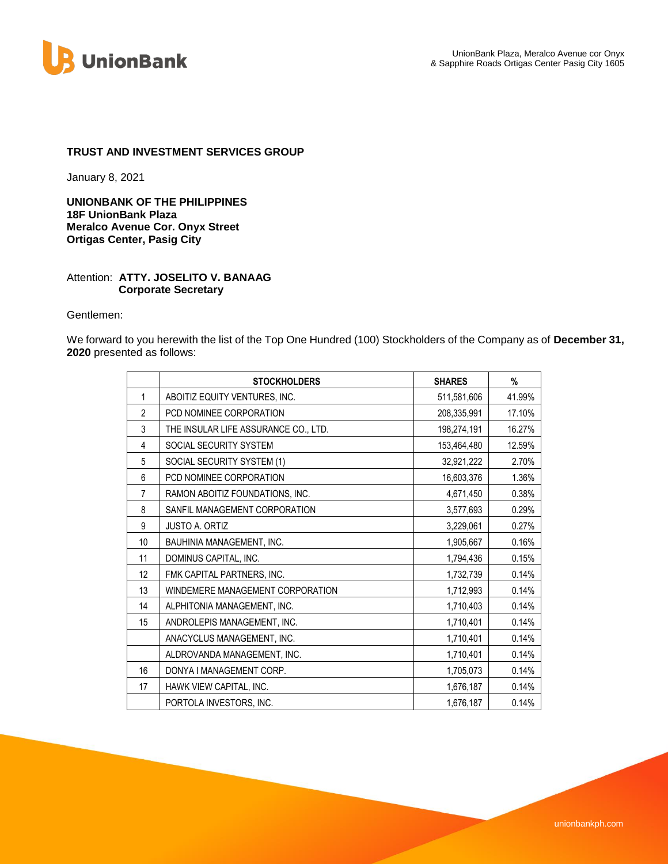

### **TRUST AND INVESTMENT SERVICES GROUP**

January 8, 2021

**UNIONBANK OF THE PHILIPPINES 18F UnionBank Plaza Meralco Avenue Cor. Onyx Street Ortigas Center, Pasig City**

#### Attention: **ATTY. JOSELITO V. BANAAG Corporate Secretary**

Gentlemen:

We forward to you herewith the list of the Top One Hundred (100) Stockholders of the Company as of **December 31, 2020** presented as follows:

|                | <b>STOCKHOLDERS</b>                  | <b>SHARES</b> | %      |
|----------------|--------------------------------------|---------------|--------|
| 1              | ABOITIZ EQUITY VENTURES, INC.        | 511,581,606   | 41.99% |
| $\overline{2}$ | PCD NOMINEE CORPORATION              | 208,335,991   | 17.10% |
| 3              | THE INSULAR LIFE ASSURANCE CO., LTD. | 198,274,191   | 16.27% |
| 4              | SOCIAL SECURITY SYSTEM               | 153,464,480   | 12.59% |
| 5              | SOCIAL SECURITY SYSTEM (1)           | 32,921,222    | 2.70%  |
| 6              | PCD NOMINEE CORPORATION              | 16,603,376    | 1.36%  |
| $\overline{7}$ | RAMON ABOITIZ FOUNDATIONS, INC.      | 4,671,450     | 0.38%  |
| 8              | SANFIL MANAGEMENT CORPORATION        | 3,577,693     | 0.29%  |
| 9              | <b>JUSTO A. ORTIZ</b>                | 3,229,061     | 0.27%  |
| 10             | BAUHINIA MANAGEMENT, INC.            | 1,905,667     | 0.16%  |
| 11             | DOMINUS CAPITAL, INC.                | 1,794,436     | 0.15%  |
| 12             | FMK CAPITAL PARTNERS, INC.           | 1,732,739     | 0.14%  |
| 13             | WINDEMERE MANAGEMENT CORPORATION     | 1,712,993     | 0.14%  |
| 14             | ALPHITONIA MANAGEMENT, INC.          | 1,710,403     | 0.14%  |
| 15             | ANDROLEPIS MANAGEMENT, INC.          | 1,710,401     | 0.14%  |
|                | ANACYCLUS MANAGEMENT, INC.           | 1,710,401     | 0.14%  |
|                | ALDROVANDA MANAGEMENT, INC.          | 1,710,401     | 0.14%  |
| 16             | DONYA I MANAGEMENT CORP.             | 1,705,073     | 0.14%  |
| 17             | HAWK VIEW CAPITAL, INC.              | 1,676,187     | 0.14%  |
|                | PORTOLA INVESTORS, INC.              | 1,676,187     | 0.14%  |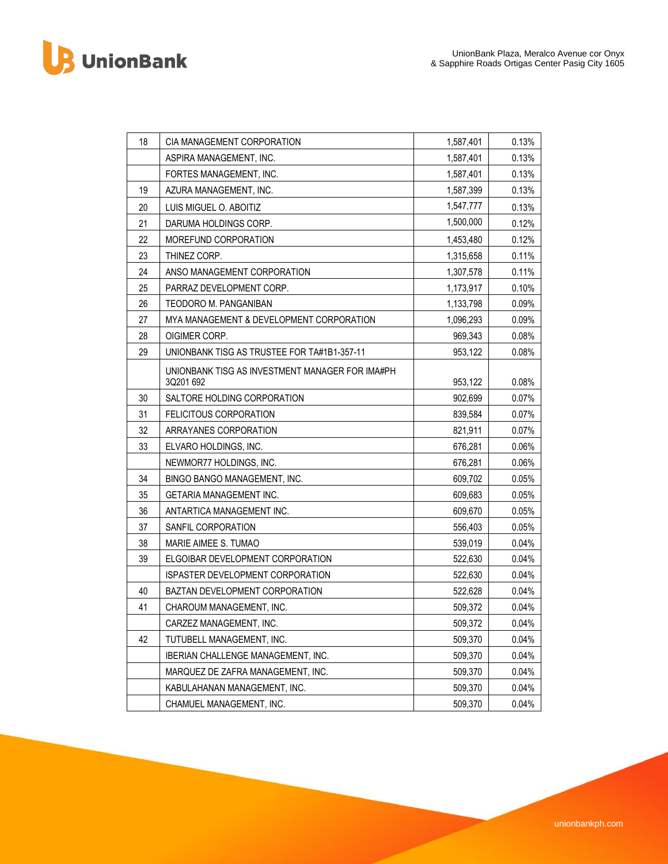B UnionBank

| 18 | CIA MANAGEMENT CORPORATION                                  | 1,587,401 | 0.13% |
|----|-------------------------------------------------------------|-----------|-------|
|    | ASPIRA MANAGEMENT, INC.                                     | 1,587,401 | 0.13% |
|    | FORTES MANAGEMENT, INC.                                     | 1,587,401 | 0.13% |
| 19 | AZURA MANAGEMENT, INC.                                      | 1,587,399 | 0.13% |
| 20 | LUIS MIGUEL O. ABOITIZ                                      | 1,547,777 | 0.13% |
| 21 | DARUMA HOLDINGS CORP.                                       | 1,500,000 | 0.12% |
| 22 | MOREFUND CORPORATION                                        | 1,453,480 | 0.12% |
| 23 | THINEZ CORP.                                                | 1,315,658 | 0.11% |
| 24 | ANSO MANAGEMENT CORPORATION                                 | 1,307,578 | 0.11% |
| 25 | PARRAZ DEVELOPMENT CORP.                                    | 1,173,917 | 0.10% |
| 26 | TEODORO M. PANGANIBAN                                       | 1,133,798 | 0.09% |
| 27 | MYA MANAGEMENT & DEVELOPMENT CORPORATION                    | 1,096,293 | 0.09% |
| 28 | OIGIMER CORP.                                               | 969,343   | 0.08% |
| 29 | UNIONBANK TISG AS TRUSTEE FOR TA#1B1-357-11                 | 953,122   | 0.08% |
|    | UNIONBANK TISG AS INVESTMENT MANAGER FOR IMA#PH<br>3Q201692 | 953,122   | 0.08% |
| 30 | SALTORE HOLDING CORPORATION                                 | 902,699   | 0.07% |
| 31 | <b>FELICITOUS CORPORATION</b>                               | 839,584   | 0.07% |
| 32 | ARRAYANES CORPORATION                                       | 821,911   | 0.07% |
| 33 | ELVARO HOLDINGS, INC.                                       | 676,281   | 0.06% |
|    | NEWMOR77 HOLDINGS, INC.                                     | 676,281   | 0.06% |
| 34 | BINGO BANGO MANAGEMENT, INC.                                | 609,702   | 0.05% |
| 35 | <b>GETARIA MANAGEMENT INC.</b>                              | 609,683   | 0.05% |
| 36 | ANTARTICA MANAGEMENT INC.                                   | 609,670   | 0.05% |
| 37 | SANFIL CORPORATION                                          | 556,403   | 0.05% |
| 38 | MARIE AIMEE S. TUMAO                                        | 539,019   | 0.04% |
| 39 | ELGOIBAR DEVELOPMENT CORPORATION                            | 522,630   | 0.04% |
|    | <b>ISPASTER DEVELOPMENT CORPORATION</b>                     | 522,630   | 0.04% |
| 40 | <b>BAZTAN DEVELOPMENT CORPORATION</b>                       | 522,628   | 0.04% |
| 41 | CHAROUM MANAGEMENT, INC.                                    | 509,372   | 0.04% |
|    | CARZEZ MANAGEMENT, INC.                                     | 509,372   | 0.04% |
| 42 | TUTUBELL MANAGEMENT, INC.                                   | 509,370   | 0.04% |
|    | IBERIAN CHALLENGE MANAGEMENT, INC.                          | 509,370   | 0.04% |
|    | MARQUEZ DE ZAFRA MANAGEMENT, INC.                           | 509,370   | 0.04% |
|    | KABULAHANAN MANAGEMENT, INC.                                | 509,370   | 0.04% |
|    | CHAMUEL MANAGEMENT, INC.                                    | 509,370   | 0.04% |
|    |                                                             |           |       |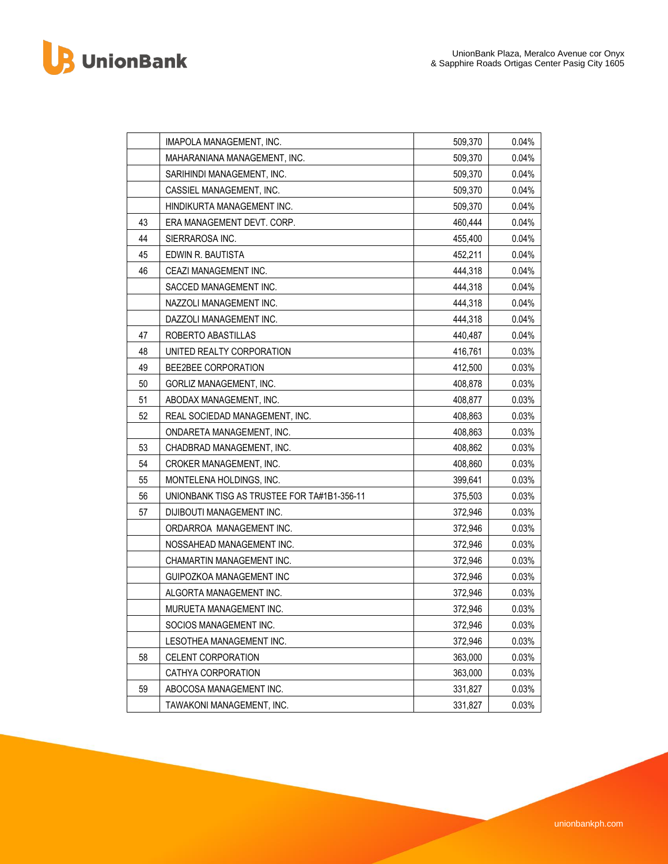B UnionBank

| 509,370<br>MAHARANIANA MANAGEMENT. INC.<br>SARIHINDI MANAGEMENT, INC.<br>509,370<br>CASSIEL MANAGEMENT, INC.<br>509,370<br>HINDIKURTA MANAGEMENT INC.<br>509,370<br>460,444<br>43<br>ERA MANAGEMENT DEVT. CORP.<br>44<br>SIERRAROSA INC.<br>455,400<br>45<br>452,211<br>EDWIN R. BAUTISTA<br>46<br>CEAZI MANAGEMENT INC.<br>444,318<br>SACCED MANAGEMENT INC.<br>444,318<br>NAZZOLI MANAGEMENT INC.<br>444,318<br>DAZZOLI MANAGEMENT INC.<br>444,318<br>47<br>ROBERTO ABASTILLAS<br>440,487<br>48<br>416,761<br>UNITED REALTY CORPORATION<br>49<br>BEE2BEE CORPORATION<br>412,500<br>50<br>GORLIZ MANAGEMENT, INC.<br>408,878<br>51<br>ABODAX MANAGEMENT, INC.<br>408,877<br>52<br>REAL SOCIEDAD MANAGEMENT, INC.<br>408,863 | 0.04%<br>0.04%<br>0.04%<br>0.04% |
|------------------------------------------------------------------------------------------------------------------------------------------------------------------------------------------------------------------------------------------------------------------------------------------------------------------------------------------------------------------------------------------------------------------------------------------------------------------------------------------------------------------------------------------------------------------------------------------------------------------------------------------------------------------------------------------------------------------------------|----------------------------------|
|                                                                                                                                                                                                                                                                                                                                                                                                                                                                                                                                                                                                                                                                                                                              |                                  |
|                                                                                                                                                                                                                                                                                                                                                                                                                                                                                                                                                                                                                                                                                                                              |                                  |
|                                                                                                                                                                                                                                                                                                                                                                                                                                                                                                                                                                                                                                                                                                                              |                                  |
|                                                                                                                                                                                                                                                                                                                                                                                                                                                                                                                                                                                                                                                                                                                              |                                  |
|                                                                                                                                                                                                                                                                                                                                                                                                                                                                                                                                                                                                                                                                                                                              | 0.04%                            |
|                                                                                                                                                                                                                                                                                                                                                                                                                                                                                                                                                                                                                                                                                                                              | 0.04%                            |
|                                                                                                                                                                                                                                                                                                                                                                                                                                                                                                                                                                                                                                                                                                                              | 0.04%                            |
|                                                                                                                                                                                                                                                                                                                                                                                                                                                                                                                                                                                                                                                                                                                              | 0.04%                            |
|                                                                                                                                                                                                                                                                                                                                                                                                                                                                                                                                                                                                                                                                                                                              | 0.04%                            |
|                                                                                                                                                                                                                                                                                                                                                                                                                                                                                                                                                                                                                                                                                                                              | 0.04%                            |
|                                                                                                                                                                                                                                                                                                                                                                                                                                                                                                                                                                                                                                                                                                                              | 0.04%                            |
|                                                                                                                                                                                                                                                                                                                                                                                                                                                                                                                                                                                                                                                                                                                              | 0.04%                            |
|                                                                                                                                                                                                                                                                                                                                                                                                                                                                                                                                                                                                                                                                                                                              | 0.03%                            |
|                                                                                                                                                                                                                                                                                                                                                                                                                                                                                                                                                                                                                                                                                                                              | 0.03%                            |
|                                                                                                                                                                                                                                                                                                                                                                                                                                                                                                                                                                                                                                                                                                                              | 0.03%                            |
|                                                                                                                                                                                                                                                                                                                                                                                                                                                                                                                                                                                                                                                                                                                              | 0.03%                            |
|                                                                                                                                                                                                                                                                                                                                                                                                                                                                                                                                                                                                                                                                                                                              | 0.03%                            |
| 408,863<br>ONDARETA MANAGEMENT, INC.                                                                                                                                                                                                                                                                                                                                                                                                                                                                                                                                                                                                                                                                                         | 0.03%                            |
| 53<br>CHADBRAD MANAGEMENT, INC.<br>408,862                                                                                                                                                                                                                                                                                                                                                                                                                                                                                                                                                                                                                                                                                   | 0.03%                            |
| 54<br>CROKER MANAGEMENT, INC.<br>408,860                                                                                                                                                                                                                                                                                                                                                                                                                                                                                                                                                                                                                                                                                     | 0.03%                            |
| MONTELENA HOLDINGS, INC.<br>55<br>399,641                                                                                                                                                                                                                                                                                                                                                                                                                                                                                                                                                                                                                                                                                    | 0.03%                            |
| 56<br>UNIONBANK TISG AS TRUSTEE FOR TA#1B1-356-11<br>375,503                                                                                                                                                                                                                                                                                                                                                                                                                                                                                                                                                                                                                                                                 | 0.03%                            |
| 57<br>DIJIBOUTI MANAGEMENT INC.<br>372,946                                                                                                                                                                                                                                                                                                                                                                                                                                                                                                                                                                                                                                                                                   | 0.03%                            |
| ORDARROA MANAGEMENT INC.<br>372,946                                                                                                                                                                                                                                                                                                                                                                                                                                                                                                                                                                                                                                                                                          | 0.03%                            |
| NOSSAHEAD MANAGEMENT INC.<br>372,946                                                                                                                                                                                                                                                                                                                                                                                                                                                                                                                                                                                                                                                                                         | 0.03%                            |
| 372,946<br>CHAMARTIN MANAGEMENT INC.                                                                                                                                                                                                                                                                                                                                                                                                                                                                                                                                                                                                                                                                                         | 0.03%                            |
| GUIPOZKOA MANAGEMENT INC<br>372,946                                                                                                                                                                                                                                                                                                                                                                                                                                                                                                                                                                                                                                                                                          | 0.03%                            |
| 372,946<br>ALGORTA MANAGEMENT INC.                                                                                                                                                                                                                                                                                                                                                                                                                                                                                                                                                                                                                                                                                           | 0.03%                            |
| 372,946<br>MURUETA MANAGEMENT INC.                                                                                                                                                                                                                                                                                                                                                                                                                                                                                                                                                                                                                                                                                           | 0.03%                            |
| 372,946<br>SOCIOS MANAGEMENT INC.                                                                                                                                                                                                                                                                                                                                                                                                                                                                                                                                                                                                                                                                                            | 0.03%                            |
| LESOTHEA MANAGEMENT INC.<br>372,946                                                                                                                                                                                                                                                                                                                                                                                                                                                                                                                                                                                                                                                                                          | 0.03%                            |
| 58<br>CELENT CORPORATION<br>363,000                                                                                                                                                                                                                                                                                                                                                                                                                                                                                                                                                                                                                                                                                          | 0.03%                            |
| CATHYA CORPORATION<br>363,000                                                                                                                                                                                                                                                                                                                                                                                                                                                                                                                                                                                                                                                                                                | 0.03%                            |
| 59<br>ABOCOSA MANAGEMENT INC.<br>331,827                                                                                                                                                                                                                                                                                                                                                                                                                                                                                                                                                                                                                                                                                     |                                  |
| TAWAKONI MANAGEMENT, INC.<br>331,827<br>0.03%                                                                                                                                                                                                                                                                                                                                                                                                                                                                                                                                                                                                                                                                                | 0.03%                            |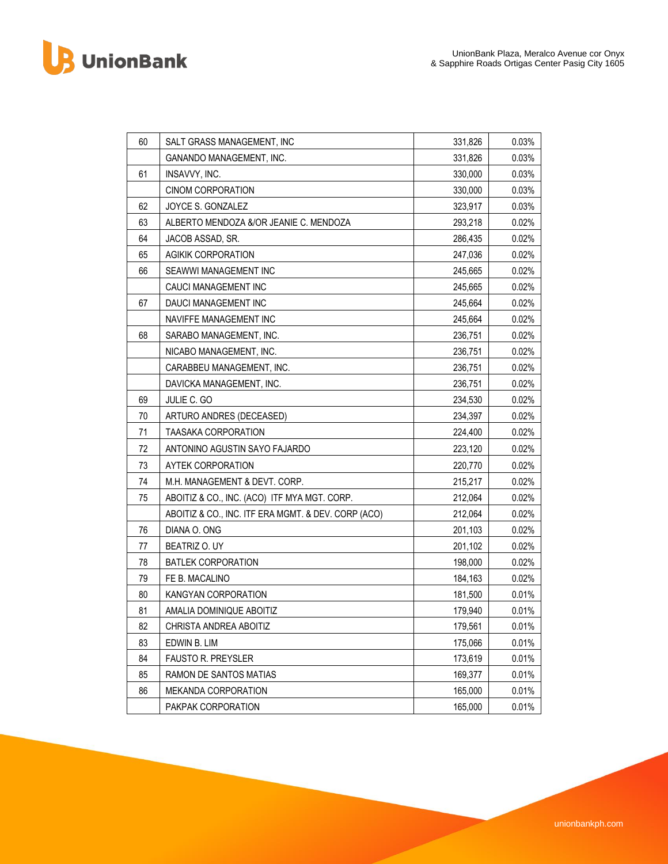B UnionBank

| 331,826<br><b>GANANDO MANAGEMENT, INC.</b><br>61<br>330,000<br>INSAVVY, INC.<br><b>CINOM CORPORATION</b><br>330,000<br>62<br>JOYCE S. GONZALEZ<br>323,917<br>63<br>ALBERTO MENDOZA &/OR JEANIE C. MENDOZA<br>293,218<br>64<br>286,435<br>JACOB ASSAD, SR.<br>65<br><b>AGIKIK CORPORATION</b><br>247,036<br>66<br>SEAWWI MANAGEMENT INC<br>245,665<br>CAUCI MANAGEMENT INC<br>245,665<br>67<br>DAUCI MANAGEMENT INC<br>245,664<br>NAVIFFE MANAGEMENT INC<br>245,664<br>68<br>SARABO MANAGEMENT, INC.<br>236,751<br>NICABO MANAGEMENT, INC.<br>236,751<br>CARABBEU MANAGEMENT, INC.<br>236,751<br>DAVICKA MANAGEMENT, INC.<br>236,751<br>69<br>JULIE C. GO<br>234,530<br>70<br>ARTURO ANDRES (DECEASED)<br>234,397<br>71<br><b>TAASAKA CORPORATION</b><br>224,400<br>72<br>ANTONINO AGUSTIN SAYO FAJARDO<br>223,120<br>73<br><b>AYTEK CORPORATION</b><br>220,770<br>74<br>M.H. MANAGEMENT & DEVT. CORP.<br>215,217<br>75<br>ABOITIZ & CO., INC. (ACO) ITF MYA MGT. CORP.<br>212,064<br>212,064<br>ABOITIZ & CO., INC. ITF ERA MGMT. & DEV. CORP (ACO)<br>76<br>DIANA O. ONG<br>201,103<br>77<br>BEATRIZ O. UY<br>201,102 | 0.03%<br>0.03%<br>0.03%<br>0.03%<br>0.02%<br>0.02%<br>0.02%<br>0.02%<br>0.02%<br>0.02%<br>0.02%<br>0.02%<br>0.02%<br>0.02%<br>0.02% |
|------------------------------------------------------------------------------------------------------------------------------------------------------------------------------------------------------------------------------------------------------------------------------------------------------------------------------------------------------------------------------------------------------------------------------------------------------------------------------------------------------------------------------------------------------------------------------------------------------------------------------------------------------------------------------------------------------------------------------------------------------------------------------------------------------------------------------------------------------------------------------------------------------------------------------------------------------------------------------------------------------------------------------------------------------------------------------------------------------------------------|-------------------------------------------------------------------------------------------------------------------------------------|
|                                                                                                                                                                                                                                                                                                                                                                                                                                                                                                                                                                                                                                                                                                                                                                                                                                                                                                                                                                                                                                                                                                                        |                                                                                                                                     |
|                                                                                                                                                                                                                                                                                                                                                                                                                                                                                                                                                                                                                                                                                                                                                                                                                                                                                                                                                                                                                                                                                                                        |                                                                                                                                     |
|                                                                                                                                                                                                                                                                                                                                                                                                                                                                                                                                                                                                                                                                                                                                                                                                                                                                                                                                                                                                                                                                                                                        |                                                                                                                                     |
|                                                                                                                                                                                                                                                                                                                                                                                                                                                                                                                                                                                                                                                                                                                                                                                                                                                                                                                                                                                                                                                                                                                        |                                                                                                                                     |
|                                                                                                                                                                                                                                                                                                                                                                                                                                                                                                                                                                                                                                                                                                                                                                                                                                                                                                                                                                                                                                                                                                                        |                                                                                                                                     |
|                                                                                                                                                                                                                                                                                                                                                                                                                                                                                                                                                                                                                                                                                                                                                                                                                                                                                                                                                                                                                                                                                                                        |                                                                                                                                     |
|                                                                                                                                                                                                                                                                                                                                                                                                                                                                                                                                                                                                                                                                                                                                                                                                                                                                                                                                                                                                                                                                                                                        |                                                                                                                                     |
|                                                                                                                                                                                                                                                                                                                                                                                                                                                                                                                                                                                                                                                                                                                                                                                                                                                                                                                                                                                                                                                                                                                        |                                                                                                                                     |
|                                                                                                                                                                                                                                                                                                                                                                                                                                                                                                                                                                                                                                                                                                                                                                                                                                                                                                                                                                                                                                                                                                                        |                                                                                                                                     |
|                                                                                                                                                                                                                                                                                                                                                                                                                                                                                                                                                                                                                                                                                                                                                                                                                                                                                                                                                                                                                                                                                                                        |                                                                                                                                     |
|                                                                                                                                                                                                                                                                                                                                                                                                                                                                                                                                                                                                                                                                                                                                                                                                                                                                                                                                                                                                                                                                                                                        |                                                                                                                                     |
|                                                                                                                                                                                                                                                                                                                                                                                                                                                                                                                                                                                                                                                                                                                                                                                                                                                                                                                                                                                                                                                                                                                        |                                                                                                                                     |
|                                                                                                                                                                                                                                                                                                                                                                                                                                                                                                                                                                                                                                                                                                                                                                                                                                                                                                                                                                                                                                                                                                                        |                                                                                                                                     |
|                                                                                                                                                                                                                                                                                                                                                                                                                                                                                                                                                                                                                                                                                                                                                                                                                                                                                                                                                                                                                                                                                                                        |                                                                                                                                     |
|                                                                                                                                                                                                                                                                                                                                                                                                                                                                                                                                                                                                                                                                                                                                                                                                                                                                                                                                                                                                                                                                                                                        |                                                                                                                                     |
|                                                                                                                                                                                                                                                                                                                                                                                                                                                                                                                                                                                                                                                                                                                                                                                                                                                                                                                                                                                                                                                                                                                        | 0.02%                                                                                                                               |
|                                                                                                                                                                                                                                                                                                                                                                                                                                                                                                                                                                                                                                                                                                                                                                                                                                                                                                                                                                                                                                                                                                                        | 0.02%                                                                                                                               |
|                                                                                                                                                                                                                                                                                                                                                                                                                                                                                                                                                                                                                                                                                                                                                                                                                                                                                                                                                                                                                                                                                                                        | 0.02%                                                                                                                               |
|                                                                                                                                                                                                                                                                                                                                                                                                                                                                                                                                                                                                                                                                                                                                                                                                                                                                                                                                                                                                                                                                                                                        | 0.02%                                                                                                                               |
|                                                                                                                                                                                                                                                                                                                                                                                                                                                                                                                                                                                                                                                                                                                                                                                                                                                                                                                                                                                                                                                                                                                        | 0.02%                                                                                                                               |
|                                                                                                                                                                                                                                                                                                                                                                                                                                                                                                                                                                                                                                                                                                                                                                                                                                                                                                                                                                                                                                                                                                                        | 0.02%                                                                                                                               |
|                                                                                                                                                                                                                                                                                                                                                                                                                                                                                                                                                                                                                                                                                                                                                                                                                                                                                                                                                                                                                                                                                                                        | 0.02%                                                                                                                               |
|                                                                                                                                                                                                                                                                                                                                                                                                                                                                                                                                                                                                                                                                                                                                                                                                                                                                                                                                                                                                                                                                                                                        | 0.02%                                                                                                                               |
|                                                                                                                                                                                                                                                                                                                                                                                                                                                                                                                                                                                                                                                                                                                                                                                                                                                                                                                                                                                                                                                                                                                        | 0.02%                                                                                                                               |
|                                                                                                                                                                                                                                                                                                                                                                                                                                                                                                                                                                                                                                                                                                                                                                                                                                                                                                                                                                                                                                                                                                                        | 0.02%                                                                                                                               |
| 78<br><b>BATLEK CORPORATION</b><br>198,000                                                                                                                                                                                                                                                                                                                                                                                                                                                                                                                                                                                                                                                                                                                                                                                                                                                                                                                                                                                                                                                                             | 0.02%                                                                                                                               |
| 79<br>FE B. MACALINO<br>184,163                                                                                                                                                                                                                                                                                                                                                                                                                                                                                                                                                                                                                                                                                                                                                                                                                                                                                                                                                                                                                                                                                        | 0.02%                                                                                                                               |
| 80<br>KANGYAN CORPORATION<br>181,500                                                                                                                                                                                                                                                                                                                                                                                                                                                                                                                                                                                                                                                                                                                                                                                                                                                                                                                                                                                                                                                                                   | 0.01%                                                                                                                               |
| 81<br>AMALIA DOMINIQUE ABOITIZ<br>179,940                                                                                                                                                                                                                                                                                                                                                                                                                                                                                                                                                                                                                                                                                                                                                                                                                                                                                                                                                                                                                                                                              | 0.01%                                                                                                                               |
| 82<br>179,561<br>CHRISTA ANDREA ABOITIZ                                                                                                                                                                                                                                                                                                                                                                                                                                                                                                                                                                                                                                                                                                                                                                                                                                                                                                                                                                                                                                                                                | 0.01%                                                                                                                               |
| 83<br>EDWIN B. LIM<br>175,066                                                                                                                                                                                                                                                                                                                                                                                                                                                                                                                                                                                                                                                                                                                                                                                                                                                                                                                                                                                                                                                                                          | 0.01%                                                                                                                               |
| 84<br>173,619<br><b>FAUSTO R. PREYSLER</b>                                                                                                                                                                                                                                                                                                                                                                                                                                                                                                                                                                                                                                                                                                                                                                                                                                                                                                                                                                                                                                                                             | 0.01%                                                                                                                               |
| 85<br>RAMON DE SANTOS MATIAS<br>169,377                                                                                                                                                                                                                                                                                                                                                                                                                                                                                                                                                                                                                                                                                                                                                                                                                                                                                                                                                                                                                                                                                | 0.01%                                                                                                                               |
| 86<br>165,000<br><b>MEKANDA CORPORATION</b>                                                                                                                                                                                                                                                                                                                                                                                                                                                                                                                                                                                                                                                                                                                                                                                                                                                                                                                                                                                                                                                                            | 0.01%                                                                                                                               |
| 0.01%<br>PAKPAK CORPORATION<br>165,000                                                                                                                                                                                                                                                                                                                                                                                                                                                                                                                                                                                                                                                                                                                                                                                                                                                                                                                                                                                                                                                                                 |                                                                                                                                     |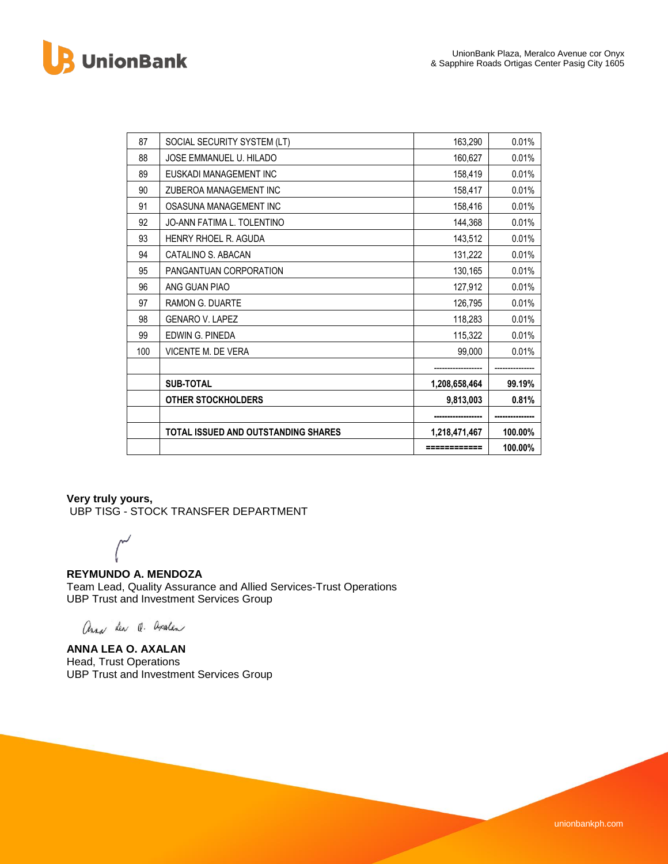**UnionBank** 

| 87  | SOCIAL SECURITY SYSTEM (LT)         | 163,290       | 0.01%   |
|-----|-------------------------------------|---------------|---------|
| 88  | JOSE EMMANUEL U. HILADO             | 160,627       | 0.01%   |
| 89  | EUSKADI MANAGEMENT INC              | 158,419       | 0.01%   |
| 90  | ZUBEROA MANAGEMENT INC              | 158,417       | 0.01%   |
| 91  | OSASUNA MANAGEMENT INC              | 158,416       | 0.01%   |
| 92  | JO-ANN FATIMA L. TOLENTINO          | 144,368       | 0.01%   |
| 93  | <b>HENRY RHOEL R. AGUDA</b>         | 143,512       | 0.01%   |
| 94  | CATALINO S. ABACAN                  | 131,222       | 0.01%   |
| 95  | PANGANTUAN CORPORATION              | 130,165       | 0.01%   |
| 96  | ANG GUAN PIAO                       | 127,912       | 0.01%   |
| 97  | <b>RAMON G. DUARTE</b>              | 126,795       | 0.01%   |
| 98  | <b>GENARO V. LAPEZ</b>              | 118,283       | 0.01%   |
| 99  | FDWIN G. PINFDA                     | 115,322       | 0.01%   |
| 100 | VICENTE M. DE VERA                  | 99,000        | 0.01%   |
|     |                                     |               |         |
|     | <b>SUB-TOTAL</b>                    | 1,208,658,464 | 99.19%  |
|     | <b>OTHER STOCKHOLDERS</b>           | 9,813,003     | 0.81%   |
|     |                                     |               |         |
|     | TOTAL ISSUED AND OUTSTANDING SHARES | 1,218,471,467 | 100.00% |
|     |                                     | ============  | 100.00% |

# **Very truly yours,**

UBP TISG - STOCK TRANSFER DEPARTMENT

### **REYMUNDO A. MENDOZA**

Team Lead, Quality Assurance and Allied Services-Trust Operations UBP Trust and Investment Services Group

ana Len Q. avalen

**ANNA LEA O. AXALAN** Head, Trust Operations UBP Trust and Investment Services Group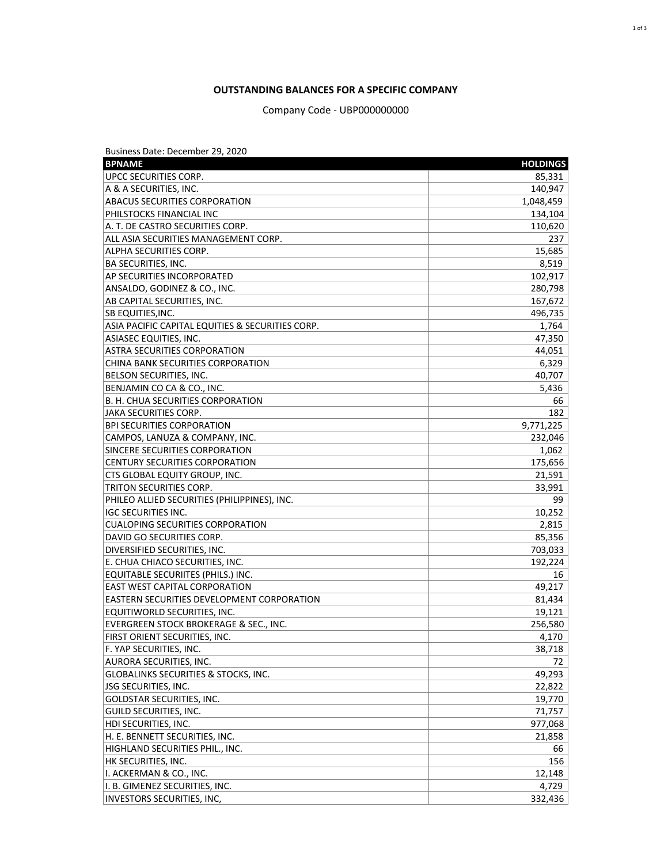## **OUTSTANDING BALANCES FOR A SPECIFIC COMPANY**

Company Code - UBP000000000

| <b>BPNAME</b><br><b>HOLDINGS</b><br><b>UPCC SECURITIES CORP.</b><br>85,331<br>A & A SECURITIES, INC.<br>140,947<br>1,048,459<br><b>ABACUS SECURITIES CORPORATION</b><br>PHILSTOCKS FINANCIAL INC<br>134,104<br>A. T. DE CASTRO SECURITIES CORP.<br>110,620<br>ALL ASIA SECURITIES MANAGEMENT CORP.<br>237<br>15,685<br>ALPHA SECURITIES CORP.<br>8,519<br><b>BA SECURITIES, INC.</b><br>102,917<br><b>AP SECURITIES INCORPORATED</b><br>ANSALDO, GODINEZ & CO., INC.<br>280,798<br>AB CAPITAL SECURITIES, INC.<br>167,672<br><b>SB EQUITIES, INC.</b><br>496,735<br>ASIA PACIFIC CAPITAL EQUITIES & SECURITIES CORP.<br>1,764<br>47,350<br><b>ASIASEC EQUITIES, INC.</b><br>ASTRA SECURITIES CORPORATION<br>44,051<br>6,329<br>CHINA BANK SECURITIES CORPORATION<br>40,707<br><b>BELSON SECURITIES, INC.</b><br>5,436<br>BENJAMIN CO CA & CO., INC.<br>B. H. CHUA SECURITIES CORPORATION<br>66<br>JAKA SECURITIES CORP.<br>182<br>9,771,225<br><b>BPI SECURITIES CORPORATION</b><br>CAMPOS, LANUZA & COMPANY, INC.<br>232,046<br>SINCERE SECURITIES CORPORATION<br>1,062<br><b>CENTURY SECURITIES CORPORATION</b><br>175,656<br>CTS GLOBAL EQUITY GROUP, INC.<br>21,591<br>33,991<br>TRITON SECURITIES CORP.<br>PHILEO ALLIED SECURITIES (PHILIPPINES), INC.<br>99<br>10,252<br><b>IGC SECURITIES INC.</b><br>2,815<br><b>CUALOPING SECURITIES CORPORATION</b><br>85,356<br>DAVID GO SECURITIES CORP.<br>DIVERSIFIED SECURITIES, INC.<br>703,033<br>E. CHUA CHIACO SECURITIES, INC.<br>192,224<br>EQUITABLE SECURIITES (PHILS.) INC.<br>16<br><b>EAST WEST CAPITAL CORPORATION</b><br>49,217<br><b>EASTERN SECURITIES DEVELOPMENT CORPORATION</b><br>81,434<br>EQUITIWORLD SECURITIES, INC.<br>19,121<br>EVERGREEN STOCK BROKERAGE & SEC., INC.<br>256,580<br>FIRST ORIENT SECURITIES, INC.<br>4,170<br>F. YAP SECURITIES, INC.<br>38,718<br><b>AURORA SECURITIES, INC.</b><br>72<br>49,293<br><b>GLOBALINKS SECURITIES &amp; STOCKS, INC.</b><br>JSG SECURITIES, INC.<br>22,822<br>GOLDSTAR SECURITIES, INC.<br>19,770<br>GUILD SECURITIES, INC.<br>71,757<br>HDI SECURITIES, INC.<br>977,068<br>H. E. BENNETT SECURITIES, INC.<br>21,858<br>HIGHLAND SECURITIES PHIL., INC.<br>66<br>HK SECURITIES, INC.<br>156<br>I. ACKERMAN & CO., INC.<br>12,148<br>I. B. GIMENEZ SECURITIES, INC.<br>4,729 | Business Date: December 29, 2020 |         |
|---------------------------------------------------------------------------------------------------------------------------------------------------------------------------------------------------------------------------------------------------------------------------------------------------------------------------------------------------------------------------------------------------------------------------------------------------------------------------------------------------------------------------------------------------------------------------------------------------------------------------------------------------------------------------------------------------------------------------------------------------------------------------------------------------------------------------------------------------------------------------------------------------------------------------------------------------------------------------------------------------------------------------------------------------------------------------------------------------------------------------------------------------------------------------------------------------------------------------------------------------------------------------------------------------------------------------------------------------------------------------------------------------------------------------------------------------------------------------------------------------------------------------------------------------------------------------------------------------------------------------------------------------------------------------------------------------------------------------------------------------------------------------------------------------------------------------------------------------------------------------------------------------------------------------------------------------------------------------------------------------------------------------------------------------------------------------------------------------------------------------------------------------------------------------------------------------------------------------------------------------------------------------------------------------|----------------------------------|---------|
|                                                                                                                                                                                                                                                                                                                                                                                                                                                                                                                                                                                                                                                                                                                                                                                                                                                                                                                                                                                                                                                                                                                                                                                                                                                                                                                                                                                                                                                                                                                                                                                                                                                                                                                                                                                                                                                                                                                                                                                                                                                                                                                                                                                                                                                                                                   |                                  |         |
|                                                                                                                                                                                                                                                                                                                                                                                                                                                                                                                                                                                                                                                                                                                                                                                                                                                                                                                                                                                                                                                                                                                                                                                                                                                                                                                                                                                                                                                                                                                                                                                                                                                                                                                                                                                                                                                                                                                                                                                                                                                                                                                                                                                                                                                                                                   |                                  |         |
|                                                                                                                                                                                                                                                                                                                                                                                                                                                                                                                                                                                                                                                                                                                                                                                                                                                                                                                                                                                                                                                                                                                                                                                                                                                                                                                                                                                                                                                                                                                                                                                                                                                                                                                                                                                                                                                                                                                                                                                                                                                                                                                                                                                                                                                                                                   |                                  |         |
|                                                                                                                                                                                                                                                                                                                                                                                                                                                                                                                                                                                                                                                                                                                                                                                                                                                                                                                                                                                                                                                                                                                                                                                                                                                                                                                                                                                                                                                                                                                                                                                                                                                                                                                                                                                                                                                                                                                                                                                                                                                                                                                                                                                                                                                                                                   |                                  |         |
|                                                                                                                                                                                                                                                                                                                                                                                                                                                                                                                                                                                                                                                                                                                                                                                                                                                                                                                                                                                                                                                                                                                                                                                                                                                                                                                                                                                                                                                                                                                                                                                                                                                                                                                                                                                                                                                                                                                                                                                                                                                                                                                                                                                                                                                                                                   |                                  |         |
|                                                                                                                                                                                                                                                                                                                                                                                                                                                                                                                                                                                                                                                                                                                                                                                                                                                                                                                                                                                                                                                                                                                                                                                                                                                                                                                                                                                                                                                                                                                                                                                                                                                                                                                                                                                                                                                                                                                                                                                                                                                                                                                                                                                                                                                                                                   |                                  |         |
|                                                                                                                                                                                                                                                                                                                                                                                                                                                                                                                                                                                                                                                                                                                                                                                                                                                                                                                                                                                                                                                                                                                                                                                                                                                                                                                                                                                                                                                                                                                                                                                                                                                                                                                                                                                                                                                                                                                                                                                                                                                                                                                                                                                                                                                                                                   |                                  |         |
|                                                                                                                                                                                                                                                                                                                                                                                                                                                                                                                                                                                                                                                                                                                                                                                                                                                                                                                                                                                                                                                                                                                                                                                                                                                                                                                                                                                                                                                                                                                                                                                                                                                                                                                                                                                                                                                                                                                                                                                                                                                                                                                                                                                                                                                                                                   |                                  |         |
|                                                                                                                                                                                                                                                                                                                                                                                                                                                                                                                                                                                                                                                                                                                                                                                                                                                                                                                                                                                                                                                                                                                                                                                                                                                                                                                                                                                                                                                                                                                                                                                                                                                                                                                                                                                                                                                                                                                                                                                                                                                                                                                                                                                                                                                                                                   |                                  |         |
|                                                                                                                                                                                                                                                                                                                                                                                                                                                                                                                                                                                                                                                                                                                                                                                                                                                                                                                                                                                                                                                                                                                                                                                                                                                                                                                                                                                                                                                                                                                                                                                                                                                                                                                                                                                                                                                                                                                                                                                                                                                                                                                                                                                                                                                                                                   |                                  |         |
|                                                                                                                                                                                                                                                                                                                                                                                                                                                                                                                                                                                                                                                                                                                                                                                                                                                                                                                                                                                                                                                                                                                                                                                                                                                                                                                                                                                                                                                                                                                                                                                                                                                                                                                                                                                                                                                                                                                                                                                                                                                                                                                                                                                                                                                                                                   |                                  |         |
|                                                                                                                                                                                                                                                                                                                                                                                                                                                                                                                                                                                                                                                                                                                                                                                                                                                                                                                                                                                                                                                                                                                                                                                                                                                                                                                                                                                                                                                                                                                                                                                                                                                                                                                                                                                                                                                                                                                                                                                                                                                                                                                                                                                                                                                                                                   |                                  |         |
|                                                                                                                                                                                                                                                                                                                                                                                                                                                                                                                                                                                                                                                                                                                                                                                                                                                                                                                                                                                                                                                                                                                                                                                                                                                                                                                                                                                                                                                                                                                                                                                                                                                                                                                                                                                                                                                                                                                                                                                                                                                                                                                                                                                                                                                                                                   |                                  |         |
|                                                                                                                                                                                                                                                                                                                                                                                                                                                                                                                                                                                                                                                                                                                                                                                                                                                                                                                                                                                                                                                                                                                                                                                                                                                                                                                                                                                                                                                                                                                                                                                                                                                                                                                                                                                                                                                                                                                                                                                                                                                                                                                                                                                                                                                                                                   |                                  |         |
|                                                                                                                                                                                                                                                                                                                                                                                                                                                                                                                                                                                                                                                                                                                                                                                                                                                                                                                                                                                                                                                                                                                                                                                                                                                                                                                                                                                                                                                                                                                                                                                                                                                                                                                                                                                                                                                                                                                                                                                                                                                                                                                                                                                                                                                                                                   |                                  |         |
|                                                                                                                                                                                                                                                                                                                                                                                                                                                                                                                                                                                                                                                                                                                                                                                                                                                                                                                                                                                                                                                                                                                                                                                                                                                                                                                                                                                                                                                                                                                                                                                                                                                                                                                                                                                                                                                                                                                                                                                                                                                                                                                                                                                                                                                                                                   |                                  |         |
|                                                                                                                                                                                                                                                                                                                                                                                                                                                                                                                                                                                                                                                                                                                                                                                                                                                                                                                                                                                                                                                                                                                                                                                                                                                                                                                                                                                                                                                                                                                                                                                                                                                                                                                                                                                                                                                                                                                                                                                                                                                                                                                                                                                                                                                                                                   |                                  |         |
|                                                                                                                                                                                                                                                                                                                                                                                                                                                                                                                                                                                                                                                                                                                                                                                                                                                                                                                                                                                                                                                                                                                                                                                                                                                                                                                                                                                                                                                                                                                                                                                                                                                                                                                                                                                                                                                                                                                                                                                                                                                                                                                                                                                                                                                                                                   |                                  |         |
|                                                                                                                                                                                                                                                                                                                                                                                                                                                                                                                                                                                                                                                                                                                                                                                                                                                                                                                                                                                                                                                                                                                                                                                                                                                                                                                                                                                                                                                                                                                                                                                                                                                                                                                                                                                                                                                                                                                                                                                                                                                                                                                                                                                                                                                                                                   |                                  |         |
|                                                                                                                                                                                                                                                                                                                                                                                                                                                                                                                                                                                                                                                                                                                                                                                                                                                                                                                                                                                                                                                                                                                                                                                                                                                                                                                                                                                                                                                                                                                                                                                                                                                                                                                                                                                                                                                                                                                                                                                                                                                                                                                                                                                                                                                                                                   |                                  |         |
|                                                                                                                                                                                                                                                                                                                                                                                                                                                                                                                                                                                                                                                                                                                                                                                                                                                                                                                                                                                                                                                                                                                                                                                                                                                                                                                                                                                                                                                                                                                                                                                                                                                                                                                                                                                                                                                                                                                                                                                                                                                                                                                                                                                                                                                                                                   |                                  |         |
|                                                                                                                                                                                                                                                                                                                                                                                                                                                                                                                                                                                                                                                                                                                                                                                                                                                                                                                                                                                                                                                                                                                                                                                                                                                                                                                                                                                                                                                                                                                                                                                                                                                                                                                                                                                                                                                                                                                                                                                                                                                                                                                                                                                                                                                                                                   |                                  |         |
|                                                                                                                                                                                                                                                                                                                                                                                                                                                                                                                                                                                                                                                                                                                                                                                                                                                                                                                                                                                                                                                                                                                                                                                                                                                                                                                                                                                                                                                                                                                                                                                                                                                                                                                                                                                                                                                                                                                                                                                                                                                                                                                                                                                                                                                                                                   |                                  |         |
|                                                                                                                                                                                                                                                                                                                                                                                                                                                                                                                                                                                                                                                                                                                                                                                                                                                                                                                                                                                                                                                                                                                                                                                                                                                                                                                                                                                                                                                                                                                                                                                                                                                                                                                                                                                                                                                                                                                                                                                                                                                                                                                                                                                                                                                                                                   |                                  |         |
|                                                                                                                                                                                                                                                                                                                                                                                                                                                                                                                                                                                                                                                                                                                                                                                                                                                                                                                                                                                                                                                                                                                                                                                                                                                                                                                                                                                                                                                                                                                                                                                                                                                                                                                                                                                                                                                                                                                                                                                                                                                                                                                                                                                                                                                                                                   |                                  |         |
|                                                                                                                                                                                                                                                                                                                                                                                                                                                                                                                                                                                                                                                                                                                                                                                                                                                                                                                                                                                                                                                                                                                                                                                                                                                                                                                                                                                                                                                                                                                                                                                                                                                                                                                                                                                                                                                                                                                                                                                                                                                                                                                                                                                                                                                                                                   |                                  |         |
|                                                                                                                                                                                                                                                                                                                                                                                                                                                                                                                                                                                                                                                                                                                                                                                                                                                                                                                                                                                                                                                                                                                                                                                                                                                                                                                                                                                                                                                                                                                                                                                                                                                                                                                                                                                                                                                                                                                                                                                                                                                                                                                                                                                                                                                                                                   |                                  |         |
|                                                                                                                                                                                                                                                                                                                                                                                                                                                                                                                                                                                                                                                                                                                                                                                                                                                                                                                                                                                                                                                                                                                                                                                                                                                                                                                                                                                                                                                                                                                                                                                                                                                                                                                                                                                                                                                                                                                                                                                                                                                                                                                                                                                                                                                                                                   |                                  |         |
|                                                                                                                                                                                                                                                                                                                                                                                                                                                                                                                                                                                                                                                                                                                                                                                                                                                                                                                                                                                                                                                                                                                                                                                                                                                                                                                                                                                                                                                                                                                                                                                                                                                                                                                                                                                                                                                                                                                                                                                                                                                                                                                                                                                                                                                                                                   |                                  |         |
|                                                                                                                                                                                                                                                                                                                                                                                                                                                                                                                                                                                                                                                                                                                                                                                                                                                                                                                                                                                                                                                                                                                                                                                                                                                                                                                                                                                                                                                                                                                                                                                                                                                                                                                                                                                                                                                                                                                                                                                                                                                                                                                                                                                                                                                                                                   |                                  |         |
|                                                                                                                                                                                                                                                                                                                                                                                                                                                                                                                                                                                                                                                                                                                                                                                                                                                                                                                                                                                                                                                                                                                                                                                                                                                                                                                                                                                                                                                                                                                                                                                                                                                                                                                                                                                                                                                                                                                                                                                                                                                                                                                                                                                                                                                                                                   |                                  |         |
|                                                                                                                                                                                                                                                                                                                                                                                                                                                                                                                                                                                                                                                                                                                                                                                                                                                                                                                                                                                                                                                                                                                                                                                                                                                                                                                                                                                                                                                                                                                                                                                                                                                                                                                                                                                                                                                                                                                                                                                                                                                                                                                                                                                                                                                                                                   |                                  |         |
|                                                                                                                                                                                                                                                                                                                                                                                                                                                                                                                                                                                                                                                                                                                                                                                                                                                                                                                                                                                                                                                                                                                                                                                                                                                                                                                                                                                                                                                                                                                                                                                                                                                                                                                                                                                                                                                                                                                                                                                                                                                                                                                                                                                                                                                                                                   |                                  |         |
|                                                                                                                                                                                                                                                                                                                                                                                                                                                                                                                                                                                                                                                                                                                                                                                                                                                                                                                                                                                                                                                                                                                                                                                                                                                                                                                                                                                                                                                                                                                                                                                                                                                                                                                                                                                                                                                                                                                                                                                                                                                                                                                                                                                                                                                                                                   |                                  |         |
|                                                                                                                                                                                                                                                                                                                                                                                                                                                                                                                                                                                                                                                                                                                                                                                                                                                                                                                                                                                                                                                                                                                                                                                                                                                                                                                                                                                                                                                                                                                                                                                                                                                                                                                                                                                                                                                                                                                                                                                                                                                                                                                                                                                                                                                                                                   |                                  |         |
|                                                                                                                                                                                                                                                                                                                                                                                                                                                                                                                                                                                                                                                                                                                                                                                                                                                                                                                                                                                                                                                                                                                                                                                                                                                                                                                                                                                                                                                                                                                                                                                                                                                                                                                                                                                                                                                                                                                                                                                                                                                                                                                                                                                                                                                                                                   |                                  |         |
|                                                                                                                                                                                                                                                                                                                                                                                                                                                                                                                                                                                                                                                                                                                                                                                                                                                                                                                                                                                                                                                                                                                                                                                                                                                                                                                                                                                                                                                                                                                                                                                                                                                                                                                                                                                                                                                                                                                                                                                                                                                                                                                                                                                                                                                                                                   |                                  |         |
|                                                                                                                                                                                                                                                                                                                                                                                                                                                                                                                                                                                                                                                                                                                                                                                                                                                                                                                                                                                                                                                                                                                                                                                                                                                                                                                                                                                                                                                                                                                                                                                                                                                                                                                                                                                                                                                                                                                                                                                                                                                                                                                                                                                                                                                                                                   |                                  |         |
|                                                                                                                                                                                                                                                                                                                                                                                                                                                                                                                                                                                                                                                                                                                                                                                                                                                                                                                                                                                                                                                                                                                                                                                                                                                                                                                                                                                                                                                                                                                                                                                                                                                                                                                                                                                                                                                                                                                                                                                                                                                                                                                                                                                                                                                                                                   |                                  |         |
|                                                                                                                                                                                                                                                                                                                                                                                                                                                                                                                                                                                                                                                                                                                                                                                                                                                                                                                                                                                                                                                                                                                                                                                                                                                                                                                                                                                                                                                                                                                                                                                                                                                                                                                                                                                                                                                                                                                                                                                                                                                                                                                                                                                                                                                                                                   |                                  |         |
|                                                                                                                                                                                                                                                                                                                                                                                                                                                                                                                                                                                                                                                                                                                                                                                                                                                                                                                                                                                                                                                                                                                                                                                                                                                                                                                                                                                                                                                                                                                                                                                                                                                                                                                                                                                                                                                                                                                                                                                                                                                                                                                                                                                                                                                                                                   |                                  |         |
|                                                                                                                                                                                                                                                                                                                                                                                                                                                                                                                                                                                                                                                                                                                                                                                                                                                                                                                                                                                                                                                                                                                                                                                                                                                                                                                                                                                                                                                                                                                                                                                                                                                                                                                                                                                                                                                                                                                                                                                                                                                                                                                                                                                                                                                                                                   |                                  |         |
|                                                                                                                                                                                                                                                                                                                                                                                                                                                                                                                                                                                                                                                                                                                                                                                                                                                                                                                                                                                                                                                                                                                                                                                                                                                                                                                                                                                                                                                                                                                                                                                                                                                                                                                                                                                                                                                                                                                                                                                                                                                                                                                                                                                                                                                                                                   |                                  |         |
|                                                                                                                                                                                                                                                                                                                                                                                                                                                                                                                                                                                                                                                                                                                                                                                                                                                                                                                                                                                                                                                                                                                                                                                                                                                                                                                                                                                                                                                                                                                                                                                                                                                                                                                                                                                                                                                                                                                                                                                                                                                                                                                                                                                                                                                                                                   |                                  |         |
|                                                                                                                                                                                                                                                                                                                                                                                                                                                                                                                                                                                                                                                                                                                                                                                                                                                                                                                                                                                                                                                                                                                                                                                                                                                                                                                                                                                                                                                                                                                                                                                                                                                                                                                                                                                                                                                                                                                                                                                                                                                                                                                                                                                                                                                                                                   |                                  |         |
|                                                                                                                                                                                                                                                                                                                                                                                                                                                                                                                                                                                                                                                                                                                                                                                                                                                                                                                                                                                                                                                                                                                                                                                                                                                                                                                                                                                                                                                                                                                                                                                                                                                                                                                                                                                                                                                                                                                                                                                                                                                                                                                                                                                                                                                                                                   |                                  |         |
|                                                                                                                                                                                                                                                                                                                                                                                                                                                                                                                                                                                                                                                                                                                                                                                                                                                                                                                                                                                                                                                                                                                                                                                                                                                                                                                                                                                                                                                                                                                                                                                                                                                                                                                                                                                                                                                                                                                                                                                                                                                                                                                                                                                                                                                                                                   |                                  |         |
|                                                                                                                                                                                                                                                                                                                                                                                                                                                                                                                                                                                                                                                                                                                                                                                                                                                                                                                                                                                                                                                                                                                                                                                                                                                                                                                                                                                                                                                                                                                                                                                                                                                                                                                                                                                                                                                                                                                                                                                                                                                                                                                                                                                                                                                                                                   |                                  |         |
|                                                                                                                                                                                                                                                                                                                                                                                                                                                                                                                                                                                                                                                                                                                                                                                                                                                                                                                                                                                                                                                                                                                                                                                                                                                                                                                                                                                                                                                                                                                                                                                                                                                                                                                                                                                                                                                                                                                                                                                                                                                                                                                                                                                                                                                                                                   |                                  |         |
|                                                                                                                                                                                                                                                                                                                                                                                                                                                                                                                                                                                                                                                                                                                                                                                                                                                                                                                                                                                                                                                                                                                                                                                                                                                                                                                                                                                                                                                                                                                                                                                                                                                                                                                                                                                                                                                                                                                                                                                                                                                                                                                                                                                                                                                                                                   |                                  |         |
|                                                                                                                                                                                                                                                                                                                                                                                                                                                                                                                                                                                                                                                                                                                                                                                                                                                                                                                                                                                                                                                                                                                                                                                                                                                                                                                                                                                                                                                                                                                                                                                                                                                                                                                                                                                                                                                                                                                                                                                                                                                                                                                                                                                                                                                                                                   |                                  |         |
|                                                                                                                                                                                                                                                                                                                                                                                                                                                                                                                                                                                                                                                                                                                                                                                                                                                                                                                                                                                                                                                                                                                                                                                                                                                                                                                                                                                                                                                                                                                                                                                                                                                                                                                                                                                                                                                                                                                                                                                                                                                                                                                                                                                                                                                                                                   |                                  |         |
|                                                                                                                                                                                                                                                                                                                                                                                                                                                                                                                                                                                                                                                                                                                                                                                                                                                                                                                                                                                                                                                                                                                                                                                                                                                                                                                                                                                                                                                                                                                                                                                                                                                                                                                                                                                                                                                                                                                                                                                                                                                                                                                                                                                                                                                                                                   | INVESTORS SECURITIES, INC,       | 332,436 |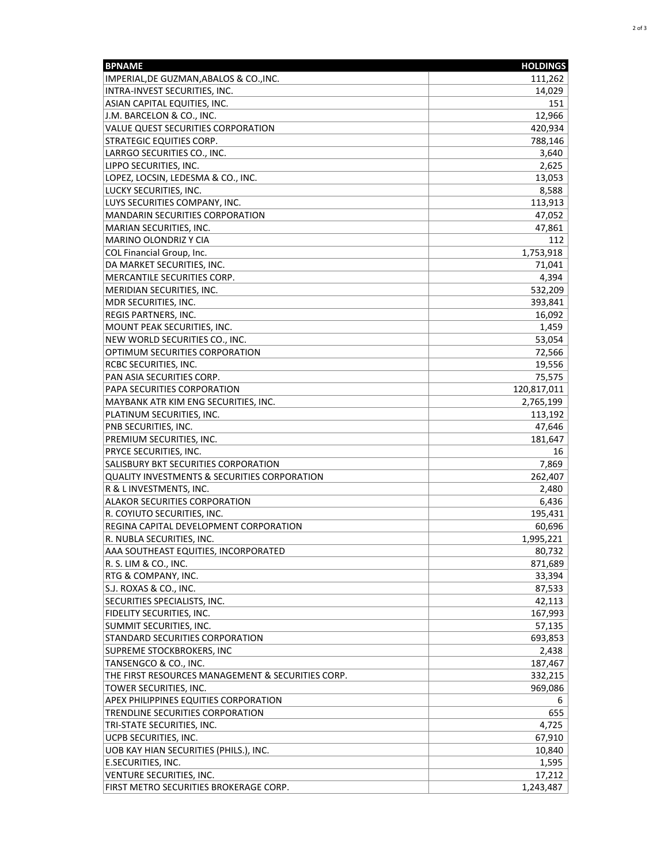| <b>BPNAME</b>                                     | <b>HOLDINGS</b> |
|---------------------------------------------------|-----------------|
| IMPERIAL,DE GUZMAN,ABALOS & CO.,INC.              | 111,262         |
| INTRA-INVEST SECURITIES, INC.                     | 14,029          |
| ASIAN CAPITAL EQUITIES, INC.                      | 151             |
| J.M. BARCELON & CO., INC.                         | 12,966          |
| <b>VALUE QUEST SECURITIES CORPORATION</b>         | 420,934         |
| <b>STRATEGIC EQUITIES CORP.</b>                   | 788,146         |
| LARRGO SECURITIES CO., INC.                       | 3,640           |
| LIPPO SECURITIES, INC.                            | 2,625           |
| LOPEZ, LOCSIN, LEDESMA & CO., INC.                | 13,053          |
| LUCKY SECURITIES, INC.                            | 8,588           |
| LUYS SECURITIES COMPANY, INC.                     | 113,913         |
| MANDARIN SECURITIES CORPORATION                   | 47,052          |
| MARIAN SECURITIES, INC.                           | 47,861          |
| MARINO OLONDRIZ Y CIA                             | 112             |
| COL Financial Group, Inc.                         | 1,753,918       |
| DA MARKET SECURITIES, INC.                        | 71,041          |
| MERCANTILE SECURITIES CORP.                       | 4,394           |
| MERIDIAN SECURITIES, INC.                         | 532,209         |
| MDR SECURITIES, INC.                              | 393,841         |
| <b>REGIS PARTNERS, INC.</b>                       | 16,092          |
| MOUNT PEAK SECURITIES, INC.                       | 1,459           |
| NEW WORLD SECURITIES CO., INC.                    | 53,054          |
| OPTIMUM SECURITIES CORPORATION                    | 72,566          |
| <b>RCBC SECURITIES, INC.</b>                      | 19,556          |
| PAN ASIA SECURITIES CORP.                         | 75,575          |
| PAPA SECURITIES CORPORATION                       | 120,817,011     |
| MAYBANK ATR KIM ENG SECURITIES, INC.              | 2,765,199       |
| PLATINUM SECURITIES, INC.                         | 113,192         |
| PNB SECURITIES, INC.                              | 47,646          |
| PREMIUM SECURITIES, INC.                          | 181,647         |
| <b>PRYCE SECURITIES, INC.</b>                     | 16              |
| SALISBURY BKT SECURITIES CORPORATION              | 7,869           |
| QUALITY INVESTMENTS & SECURITIES CORPORATION      | 262,407         |
| R & L INVESTMENTS, INC.                           | 2,480           |
| <b>ALAKOR SECURITIES CORPORATION</b>              | 6,436           |
| R. COYIUTO SECURITIES, INC.                       | 195,431         |
| REGINA CAPITAL DEVELOPMENT CORPORATION            | 60,696          |
| R. NUBLA SECURITIES, INC.                         | 1,995,221       |
| AAA SOUTHEAST EQUITIES, INCORPORATED              | 80,732          |
| R. S. LIM & CO., INC.                             | 871,689         |
| RTG & COMPANY, INC.                               | 33,394          |
| S.J. ROXAS & CO., INC.                            | 87,533          |
| SECURITIES SPECIALISTS, INC.                      | 42,113          |
| FIDELITY SECURITIES, INC.                         | 167,993         |
| SUMMIT SECURITIES, INC.                           | 57,135          |
| <b>STANDARD SECURITIES CORPORATION</b>            | 693,853         |
| SUPREME STOCKBROKERS, INC                         | 2,438           |
| TANSENGCO & CO., INC.                             | 187,467         |
| THE FIRST RESOURCES MANAGEMENT & SECURITIES CORP. | 332,215         |
| TOWER SECURITIES, INC.                            | 969,086         |
| <b>APEX PHILIPPINES EQUITIES CORPORATION</b>      | 6               |
| TRENDLINE SECURITIES CORPORATION                  | 655             |
| TRI-STATE SECURITIES, INC.                        | 4,725           |
| UCPB SECURITIES, INC.                             | 67,910          |
| UOB KAY HIAN SECURITIES (PHILS.), INC.            | 10,840          |
| E.SECURITIES, INC.                                | 1,595           |
| VENTURE SECURITIES, INC.                          | 17,212          |
| FIRST METRO SECURITIES BROKERAGE CORP.            | 1,243,487       |